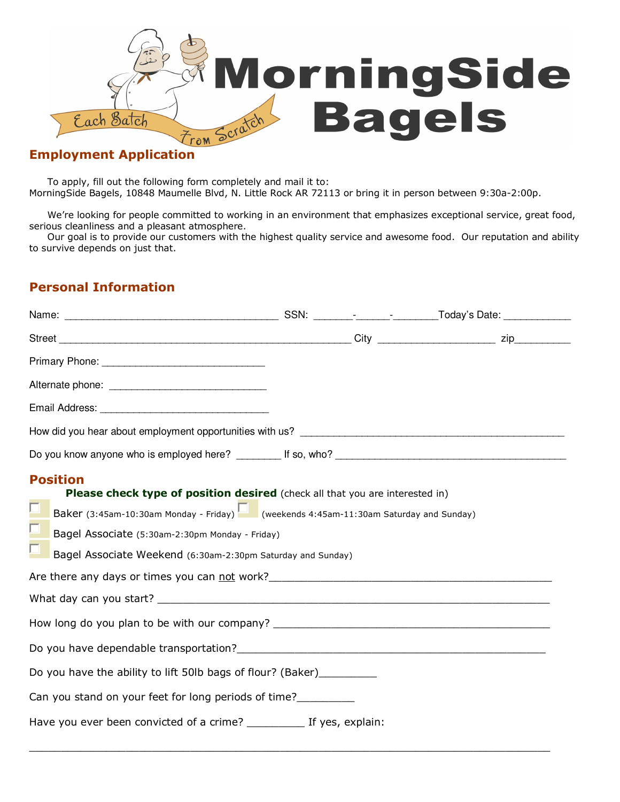

 To apply, fill out the following form completely and mail it to: MorningSide Bagels, 10848 Maumelle Blvd, N. Little Rock AR 72113 or bring it in person between 9:30a-2:00p.

 We're looking for people committed to working in an environment that emphasizes exceptional service, great food, serious cleanliness and a pleasant atmosphere.

 Our goal is to provide our customers with the highest quality service and awesome food. Our reputation and ability to survive depends on just that.

## **Personal Information**

| <b>Position</b><br>Please check type of position desired (check all that you are interested in)<br>Baker (3:45am-10:30am Monday - Friday) $\Box$ (weekends 4:45am-11:30am Saturday and Sunday) |  |  |  |  |  |
|------------------------------------------------------------------------------------------------------------------------------------------------------------------------------------------------|--|--|--|--|--|
| Bagel Associate (5:30am-2:30pm Monday - Friday)                                                                                                                                                |  |  |  |  |  |
| Bagel Associate Weekend (6:30am-2:30pm Saturday and Sunday)                                                                                                                                    |  |  |  |  |  |
|                                                                                                                                                                                                |  |  |  |  |  |
|                                                                                                                                                                                                |  |  |  |  |  |
|                                                                                                                                                                                                |  |  |  |  |  |
|                                                                                                                                                                                                |  |  |  |  |  |
| Do you have the ability to lift 50lb bags of flour? (Baker) __________                                                                                                                         |  |  |  |  |  |
| Can you stand on your feet for long periods of time?                                                                                                                                           |  |  |  |  |  |
| Have you ever been convicted of a crime? ___________ If yes, explain:                                                                                                                          |  |  |  |  |  |

\_\_\_\_\_\_\_\_\_\_\_\_\_\_\_\_\_\_\_\_\_\_\_\_\_\_\_\_\_\_\_\_\_\_\_\_\_\_\_\_\_\_\_\_\_\_\_\_\_\_\_\_\_\_\_\_\_\_\_\_\_\_\_\_\_\_\_\_\_\_\_\_\_\_\_\_\_\_\_\_\_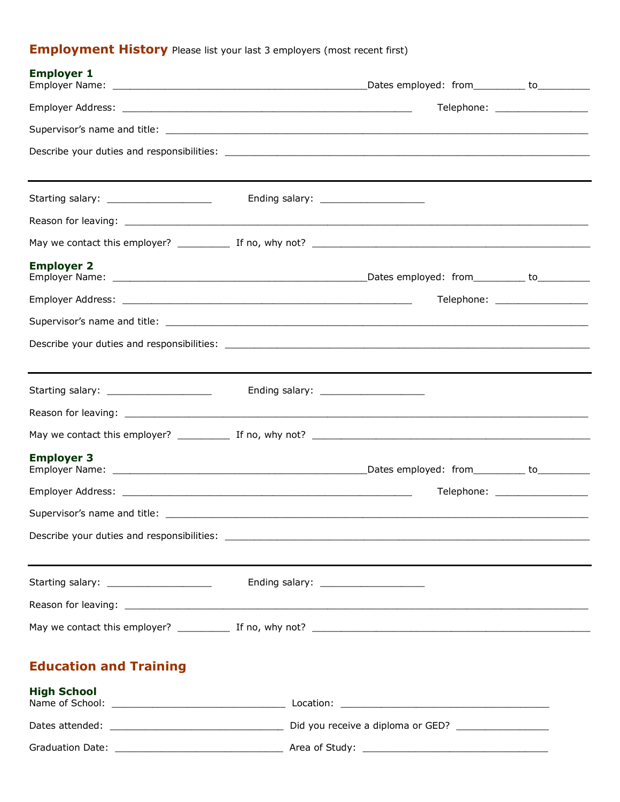## **Employment History** Please list your last 3 employers (most recent first)

| <b>Employer 1</b>                     |                                        | Dates employed: from___________ to___________ |                               |
|---------------------------------------|----------------------------------------|-----------------------------------------------|-------------------------------|
|                                       |                                        |                                               | Telephone: __________________ |
|                                       |                                        |                                               |                               |
|                                       |                                        |                                               |                               |
| Starting salary: __________________   | Ending salary: _____________________   |                                               |                               |
|                                       |                                        |                                               |                               |
|                                       |                                        |                                               |                               |
| <b>Employer 2</b>                     |                                        | Dates employed: from__________ to___________  |                               |
|                                       |                                        |                                               | Telephone: __________________ |
|                                       |                                        |                                               |                               |
|                                       |                                        |                                               |                               |
| Starting salary: ____________________ | Ending salary: _______________________ |                                               |                               |
|                                       |                                        |                                               |                               |
|                                       |                                        |                                               |                               |
| <b>Employer 3</b>                     |                                        | Dates employed: from__________ to___________  |                               |
|                                       |                                        |                                               | Telephone: __________________ |
|                                       |                                        |                                               |                               |
|                                       |                                        |                                               |                               |
| Starting salary: ____________________ |                                        |                                               |                               |
|                                       |                                        |                                               |                               |
|                                       |                                        |                                               |                               |

## **Education and Training**

| <b>High School</b><br>Name of School: | Location:                         |
|---------------------------------------|-----------------------------------|
| Dates attended:                       | Did you receive a diploma or GED? |
| Graduation Date:                      | Area of Study:                    |